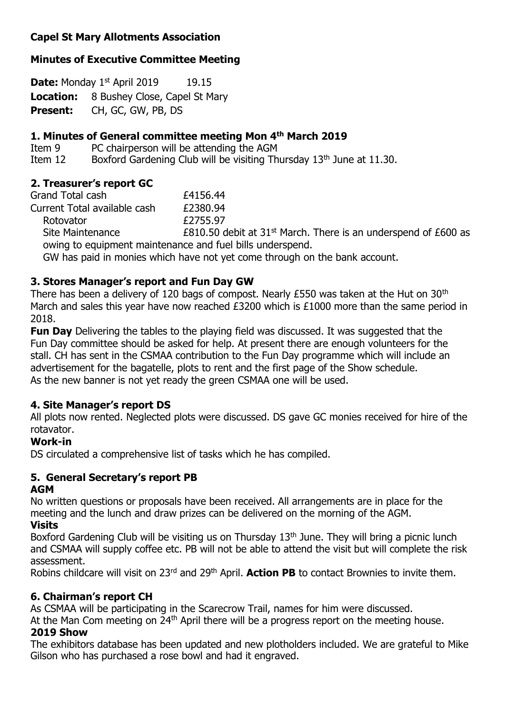## **Capel St Mary Allotments Association**

### **Minutes of Executive Committee Meeting**

**Date:** Monday 1<sup>st</sup> April 2019 19.15 **Location:** 8 Bushey Close, Capel St Mary **Present:** CH, GC, GW, PB, DS

#### **1. Minutes of General committee meeting Mon 4 th March 2019**

Item 9 PC chairperson will be attending the AGM

Item 12 Boxford Gardening Club will be visiting Thursday  $13<sup>th</sup>$  June at 11.30.

### **2. Treasurer's report GC**

| Grand Total cash             | £4156.44                                                                              |
|------------------------------|---------------------------------------------------------------------------------------|
| Current Total available cash | £2380.94                                                                              |
| Rotovator                    | £2755.97                                                                              |
| Site Maintenance             | £810.50 debit at $31st$ March. There is an underspend of £600 as                      |
|                              | owing to equipment maintenance and fuel bills underspend.                             |
|                              | $CIII$ has noted to meantas which have not yet sense thus who en the hands accuration |

GW has paid in monies which have not yet come through on the bank account.

# **3. Stores Manager's report and Fun Day GW**

There has been a delivery of 120 bags of compost. Nearly  $E$ 550 was taken at the Hut on 30<sup>th</sup> March and sales this year have now reached £3200 which is £1000 more than the same period in 2018.

**Fun Day** Delivering the tables to the playing field was discussed. It was suggested that the Fun Day committee should be asked for help. At present there are enough volunteers for the stall. CH has sent in the CSMAA contribution to the Fun Day programme which will include an advertisement for the bagatelle, plots to rent and the first page of the Show schedule. As the new banner is not yet ready the green CSMAA one will be used.

## **4. Site Manager's report DS**

All plots now rented. Neglected plots were discussed. DS gave GC monies received for hire of the rotavator.

#### **Work-in**

DS circulated a comprehensive list of tasks which he has compiled.

## **5. General Secretary's report PB**

#### **AGM**

No written questions or proposals have been received. All arrangements are in place for the meeting and the lunch and draw prizes can be delivered on the morning of the AGM.

## **Visits**

Boxford Gardening Club will be visiting us on Thursday 13<sup>th</sup> June. They will bring a picnic lunch and CSMAA will supply coffee etc. PB will not be able to attend the visit but will complete the risk assessment.

Robins childcare will visit on 23rd and 29th April. **Action PB** to contact Brownies to invite them.

## **6. Chairman's report CH**

As CSMAA will be participating in the Scarecrow Trail, names for him were discussed.

At the Man Com meeting on 24<sup>th</sup> April there will be a progress report on the meeting house.

#### **2019 Show**

The exhibitors database has been updated and new plotholders included. We are grateful to Mike Gilson who has purchased a rose bowl and had it engraved.